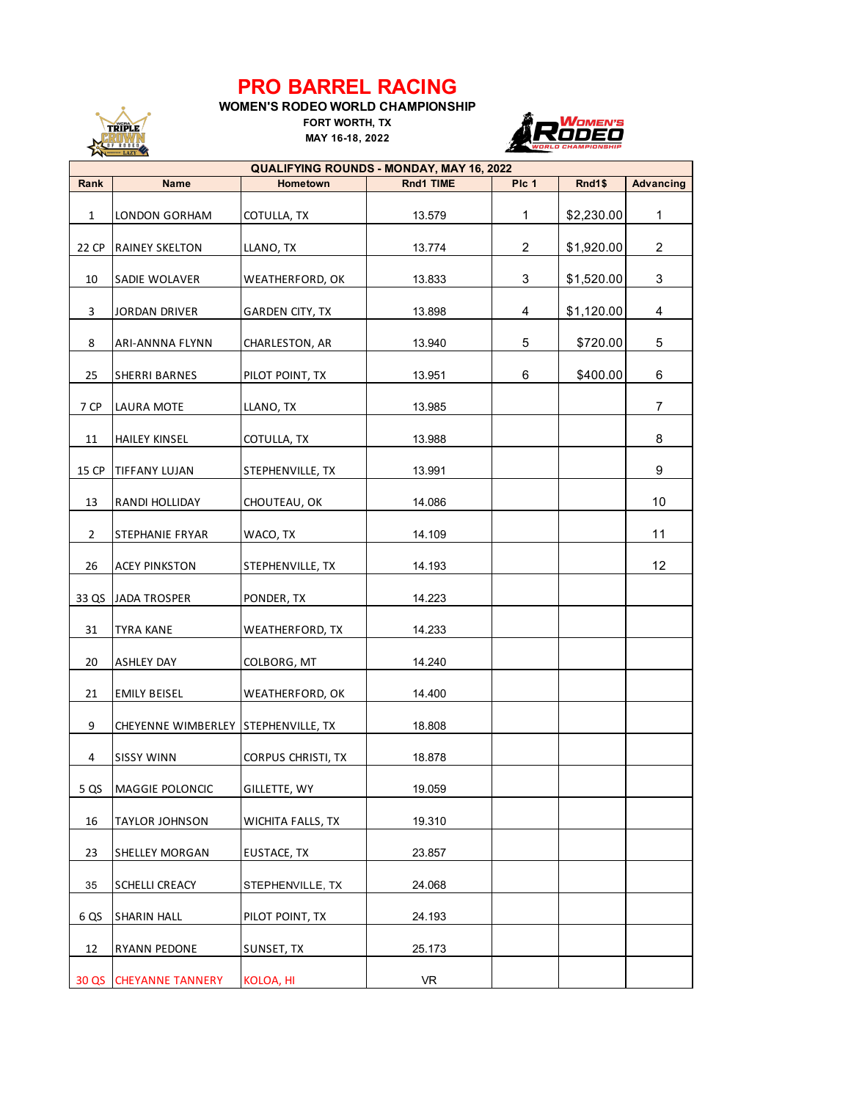## **PRO BARREL RACING**

**WOMEN'S RODEO WORLD CHAMPIONSHIP**

**MAY 16-18, 2022 FORT WORTH, TX**

TRIPLE RUWN



| <b>QUALIFYING ROUNDS - MONDAY, MAY 16, 2022</b> |                                     |                          |           |       |            |                  |  |  |  |  |  |
|-------------------------------------------------|-------------------------------------|--------------------------|-----------|-------|------------|------------------|--|--|--|--|--|
| Rank                                            | <b>Name</b>                         | Hometown                 | Rnd1 TIME | PIc 1 | Rnd1\$     | <b>Advancing</b> |  |  |  |  |  |
| $\mathbf{1}$                                    | LONDON GORHAM                       | COTULLA, TX              | 13.579    | 1     | \$2,230.00 | $\mathbf{1}$     |  |  |  |  |  |
| 22 CP                                           | <b>RAINEY SKELTON</b>               | LLANO, TX                | 13.774    | 2     | \$1,920.00 | $\overline{2}$   |  |  |  |  |  |
| 10                                              | SADIE WOLAVER                       | WEATHERFORD, OK          | 13.833    | 3     | \$1,520.00 | 3                |  |  |  |  |  |
| 3                                               | <b>JORDAN DRIVER</b>                | GARDEN CITY, TX          | 13.898    | 4     | \$1,120.00 | 4                |  |  |  |  |  |
| 8                                               | ARI-ANNNA FLYNN                     | CHARLESTON, AR           | 13.940    | 5     | \$720.00   | 5                |  |  |  |  |  |
| 25                                              | <b>SHERRI BARNES</b>                | PILOT POINT, TX          | 13.951    | 6     | \$400.00   | 6                |  |  |  |  |  |
| 7 CP                                            | LAURA MOTE                          | LLANO, TX                | 13.985    |       |            | $\overline{7}$   |  |  |  |  |  |
| 11                                              | <b>HAILEY KINSEL</b>                | COTULLA, TX              | 13.988    |       |            | 8                |  |  |  |  |  |
| 15 CP                                           | <b>TIFFANY LUJAN</b>                | STEPHENVILLE, TX         | 13.991    |       |            | 9                |  |  |  |  |  |
| 13                                              | <b>RANDI HOLLIDAY</b>               | CHOUTEAU, OK             | 14.086    |       |            | 10               |  |  |  |  |  |
| $\overline{2}$                                  | STEPHANIE FRYAR                     | WACO, TX                 | 14.109    |       |            | 11               |  |  |  |  |  |
| 26                                              | <b>ACEY PINKSTON</b>                | STEPHENVILLE, TX         | 14.193    |       |            | 12               |  |  |  |  |  |
| 33 QS                                           | JADA TROSPER                        | PONDER, TX               | 14.223    |       |            |                  |  |  |  |  |  |
| 31                                              | <b>TYRA KANE</b>                    | WEATHERFORD, TX          | 14.233    |       |            |                  |  |  |  |  |  |
| 20                                              | <b>ASHLEY DAY</b>                   | COLBORG, MT              | 14.240    |       |            |                  |  |  |  |  |  |
| 21                                              | <b>EMILY BEISEL</b>                 | WEATHERFORD, OK          | 14.400    |       |            |                  |  |  |  |  |  |
| 9                                               | CHEYENNE WIMBERLEY STEPHENVILLE, TX |                          | 18.808    |       |            |                  |  |  |  |  |  |
| 4                                               | <b>SISSY WINN</b>                   | CORPUS CHRISTI, TX       | 18.878    |       |            |                  |  |  |  |  |  |
| 5 QS                                            | MAGGIE POLONCIC                     | GILLETTE, WY             | 19.059    |       |            |                  |  |  |  |  |  |
| $16\,$                                          | <b>TAYLOR JOHNSON</b>               | <b>WICHITA FALLS, TX</b> | 19.310    |       |            |                  |  |  |  |  |  |
| 23                                              | <b>SHELLEY MORGAN</b>               | EUSTACE, TX              | 23.857    |       |            |                  |  |  |  |  |  |
| 35                                              | SCHELLI CREACY                      | STEPHENVILLE, TX         | 24.068    |       |            |                  |  |  |  |  |  |
| 6 QS                                            | <b>SHARIN HALL</b>                  | PILOT POINT, TX          | 24.193    |       |            |                  |  |  |  |  |  |
| 12                                              | <b>RYANN PEDONE</b>                 | SUNSET, TX               | 25.173    |       |            |                  |  |  |  |  |  |
| 30 QS                                           | <b>CHEYANNE TANNERY</b>             | KOLOA, HI                | <b>VR</b> |       |            |                  |  |  |  |  |  |